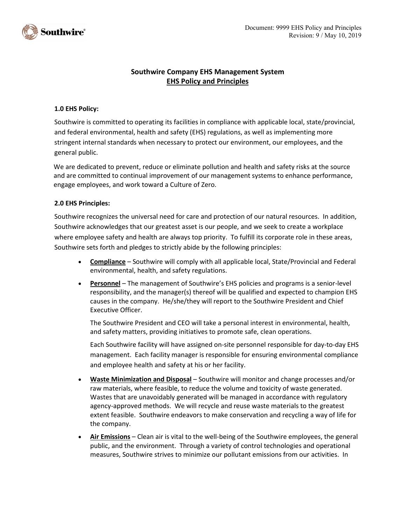

## **Southwire Company EHS Management System EHS Policy and Principles**

### **1.0 EHS Policy:**

Southwire is committed to operating its facilities in compliance with applicable local, state/provincial, and federal environmental, health and safety (EHS) regulations, as well as implementing more stringent internal standards when necessary to protect our environment, our employees, and the general public.

We are dedicated to prevent, reduce or eliminate pollution and health and safety risks at the source and are committed to continual improvement of our management systems to enhance performance, engage employees, and work toward a Culture of Zero.

### **2.0 EHS Principles:**

Southwire recognizes the universal need for care and protection of our natural resources. In addition, Southwire acknowledges that our greatest asset is our people, and we seek to create a workplace where employee safety and health are always top priority. To fulfill its corporate role in these areas, Southwire sets forth and pledges to strictly abide by the following principles:

- **Compliance** Southwire will comply with all applicable local, State/Provincial and Federal environmental, health, and safety regulations.
- **Personnel** The management of Southwire's EHS policies and programs is a senior-level responsibility, and the manager(s) thereof will be qualified and expected to champion EHS causes in the company. He/she/they will report to the Southwire President and Chief Executive Officer.

The Southwire President and CEO will take a personal interest in environmental, health, and safety matters, providing initiatives to promote safe, clean operations.

Each Southwire facility will have assigned on-site personnel responsible for day-to-day EHS management. Each facility manager is responsible for ensuring environmental compliance and employee health and safety at his or her facility.

- **Waste Minimization and Disposal** Southwire will monitor and change processes and/or raw materials, where feasible, to reduce the volume and toxicity of waste generated. Wastes that are unavoidably generated will be managed in accordance with regulatory agency-approved methods. We will recycle and reuse waste materials to the greatest extent feasible. Southwire endeavors to make conservation and recycling a way of life for the company.
- **Air Emissions** Clean air is vital to the well-being of the Southwire employees, the general public, and the environment. Through a variety of control technologies and operational measures, Southwire strives to minimize our pollutant emissions from our activities. In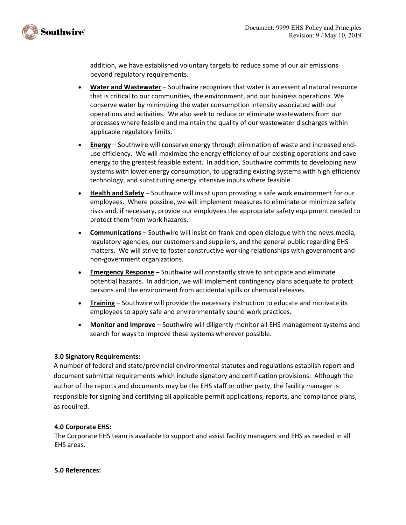

addition, we have established voluntary targets to reduce some of our air emissions beyond regulatory requirements.

- **Water and Wastewater** Southwire recognizes that water is an essential natural resource that is critical to our communities, the environment, and our business operations. We conserve water by minimizing the water consumption intensity associated with our operations and activities. We also seek to reduce or eliminate wastewaters from our processes where feasible and maintain the quality of our wastewater discharges within applicable regulatory limits.
- **Energy** Southwire will conserve energy through elimination of waste and increased enduse efficiency. We will maximize the energy efficiency of our existing operations and save energy to the greatest feasible extent. In addition, Southwire commits to developing new systems with lower energy consumption, to upgrading existing systems with high efficiency technology, and substituting energy intensive inputs where feasible.
- **Health and Safety** Southwire will insist upon providing a safe work environment for our employees. Where possible, we will implement measures to eliminate or minimize safety risks and, if necessary, provide our employees the appropriate safety equipment needed to protect them from work hazards.
- **Communications** Southwire will insist on frank and open dialogue with the news media, regulatory agencies, our customers and suppliers, and the general public regarding EHS matters. We will strive to foster constructive working relationships with government and non-government organizations.
- **Emergency Response** Southwire will constantly strive to anticipate and eliminate potential hazards. In addition, we will implement contingency plans adequate to protect persons and the environment from accidental spills or chemical releases.
- **Training** Southwire will provide the necessary instruction to educate and motivate its employees to apply safe and environmentally sound work practices.
- **Monitor and Improve** Southwire will diligently monitor all EHS management systems and search for ways to improve these systems wherever possible.

### **3.0 Signatory Requirements:**

A number of federal and state/provincial environmental statutes and regulations establish report and document submittal requirements which include signatory and certification provisions. Although the author of the reports and documents may be the EHS staff or other party, the facility manager is responsible for signing and certifying all applicable permit applications, reports, and compliance plans, as required.

### **4.0 Corporate EHS:**

The Corporate EHS team is available to support and assist facility managers and EHS as needed in all EHS areas.

**5.0 References:**